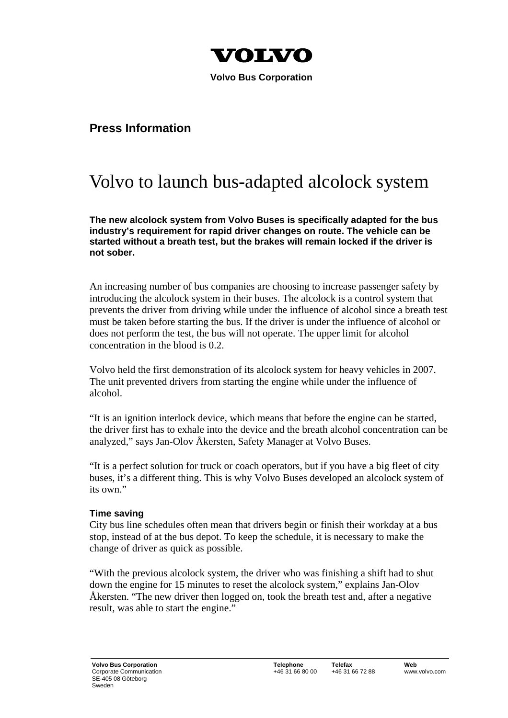

 **Volvo Bus Corporation** 

## **Press Information**

## Volvo to launch bus-adapted alcolock system

**The new alcolock system from Volvo Buses is specifically adapted for the bus industry's requirement for rapid driver changes on route. The vehicle can be started without a breath test, but the brakes will remain locked if the driver is not sober.** 

An increasing number of bus companies are choosing to increase passenger safety by introducing the alcolock system in their buses. The alcolock is a control system that prevents the driver from driving while under the influence of alcohol since a breath test must be taken before starting the bus. If the driver is under the influence of alcohol or does not perform the test, the bus will not operate. The upper limit for alcohol concentration in the blood is 0.2.

Volvo held the first demonstration of its alcolock system for heavy vehicles in 2007. The unit prevented drivers from starting the engine while under the influence of alcohol.

"It is an ignition interlock device, which means that before the engine can be started, the driver first has to exhale into the device and the breath alcohol concentration can be analyzed," says Jan-Olov Åkersten, Safety Manager at Volvo Buses.

"It is a perfect solution for truck or coach operators, but if you have a big fleet of city buses, it's a different thing. This is why Volvo Buses developed an alcolock system of its own."

## **Time saving**

City bus line schedules often mean that drivers begin or finish their workday at a bus stop, instead of at the bus depot. To keep the schedule, it is necessary to make the change of driver as quick as possible.

"With the previous alcolock system, the driver who was finishing a shift had to shut down the engine for 15 minutes to reset the alcolock system," explains Jan-Olov Åkersten. "The new driver then logged on, took the breath test and, after a negative result, was able to start the engine."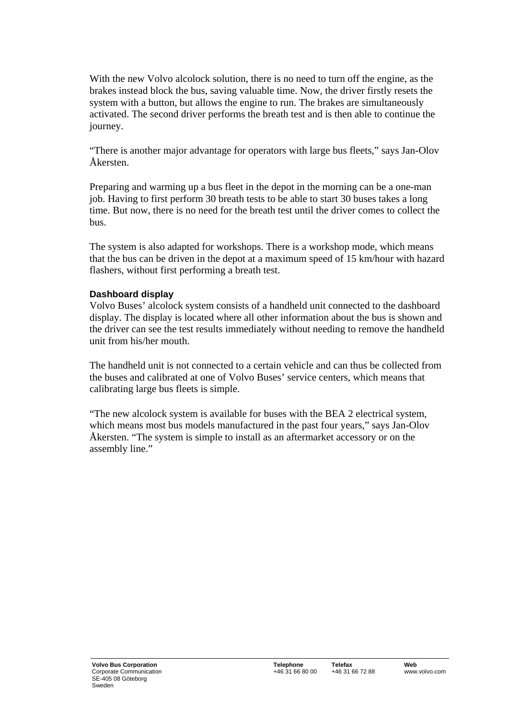With the new Volvo alcolock solution, there is no need to turn off the engine, as the brakes instead block the bus, saving valuable time. Now, the driver firstly resets the system with a button, but allows the engine to run. The brakes are simultaneously activated. The second driver performs the breath test and is then able to continue the journey.

"There is another major advantage for operators with large bus fleets," says Jan-Olov Åkersten.

Preparing and warming up a bus fleet in the depot in the morning can be a one-man job. Having to first perform 30 breath tests to be able to start 30 buses takes a long time. But now, there is no need for the breath test until the driver comes to collect the bus.

The system is also adapted for workshops. There is a workshop mode, which means that the bus can be driven in the depot at a maximum speed of 15 km/hour with hazard flashers, without first performing a breath test.

## **Dashboard display**

Volvo Buses' alcolock system consists of a handheld unit connected to the dashboard display. The display is located where all other information about the bus is shown and the driver can see the test results immediately without needing to remove the handheld unit from his/her mouth.

The handheld unit is not connected to a certain vehicle and can thus be collected from the buses and calibrated at one of Volvo Buses' service centers, which means that calibrating large bus fleets is simple.

"The new alcolock system is available for buses with the BEA 2 electrical system, which means most bus models manufactured in the past four years," says Jan-Olov Åkersten. "The system is simple to install as an aftermarket accessory or on the assembly line."